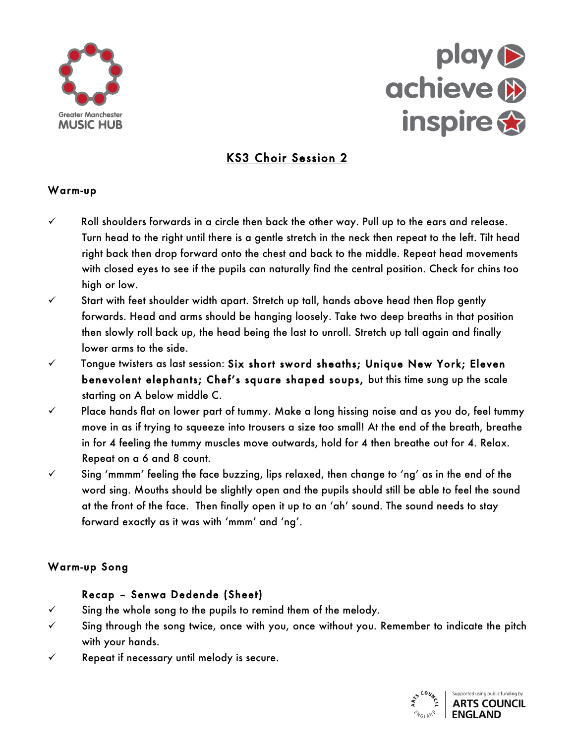



# KS3 Choir Session 2

# **Greater Manchester Hub Training**  Warm-up

- Roll shoulders forwards in a circle then back the other w<br>Turn head to the right until there is a gentle stretch in the right back then drop forward ont**o the chest**<br>with closed eyes to see if the pupils can natu<br>high or low  $\checkmark$  Roll shoulders forwards in a circle then back the other way. Pull up to the ears and release. Turn head to the right until there is a gentle stretch in the neck then repeat to the left. Tilt head right back then drop forward onto the chest and back to the middle. Repeat head movements with closed eyes to see if the pu**pils can naturally find** the central position. Check for chins too high or low.
- vector's Start with feet shoulder width apart. Stretch up tall, hands above head then flop gently forwards. Head and arms should be hanging loosely. Take two deep breaths in that position then slowly roll back up, the head being the last to unroll. Stretch up tall again and finally lower arms to the side.
- $\checkmark$  Tongue twisters as last session: Six short sword sheaths; Unique New York; Eleven benevolent elephants; Chef's square shaped soups, but this time sung up the scale starting on A below middle C.
- $\checkmark$  Place hands flat on lower part of tummy. Make a long hissing noise and as you do, feel tummy move in as if trying to squeeze into trousers a size too small! At the end of the breath, breathe in for 4 feeling the tummy muscles move outwards, hold for 4 then breathe out for 4. Relax. Repeat on a 6 and 8 count.
- $\checkmark$  counging 'mmm' feeling the face buzzing, lips relaxed, then change to 'ng' as in the end of the word sing. Mouths should be slightly open and the pupils should still be able to feel the sound at the front of the face. Then finally open it up to an 'ah' sound. The sound needs to stay forward exactly as it was with 'mmm' and 'ng'.

# Warm-up Song

#### Recap – Senwa Dedende (Sheet)

- $\checkmark$  Sing the whole song to the pupils to remind them of the melody.
- $\checkmark$  Sing through the song twice, once with you, once without you. Remember to indicate the pitch with your hands.
- $\checkmark$  Repeat if necessary until melody is secure.